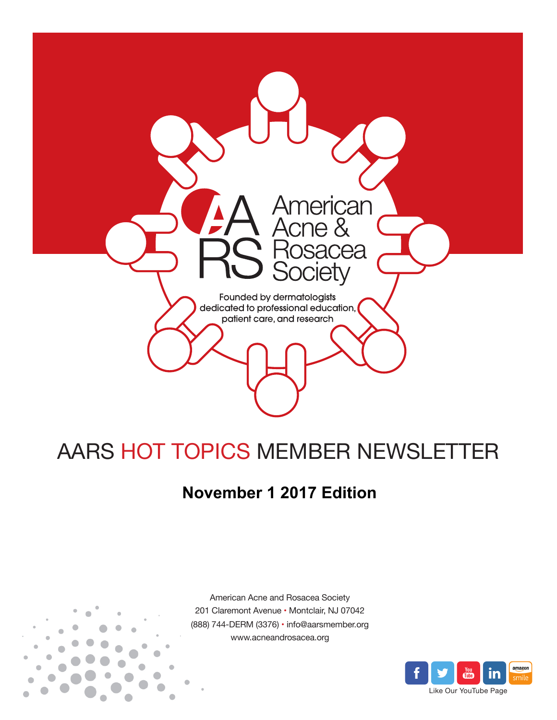

# AARS HOT TOPICS MEMBER NEWSLETTER

## **November 1 2017 Edition**



American Acne and Rosacea Society 201 Claremont Avenue • Montclair, NJ 07042 (888) 744-DERM (3376) • info@aarsmember.org www.acneandrosacea.org

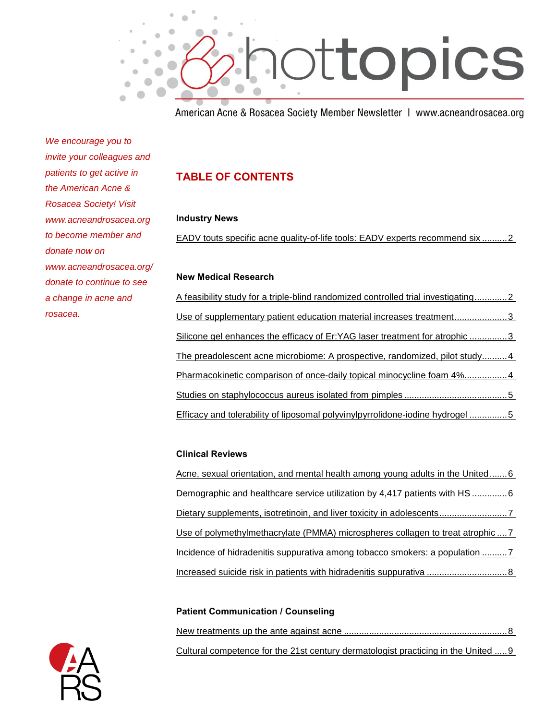

American Acne & Rosacea Society Member Newsletter | www.acneandrosacea.org

*We encourage you to invite your colleagues and patients to get active in the American Acne & Rosacea Society! Visit www.acneandrosacea.org to become member and donate now on www.acneandrosacea.org/ donate to continue to see a change in acne and rosacea.*

## **TABLE OF CONTENTS**

#### **Industry News**

[EADV touts specific acne quality-of-life tools: EADV experts recommend six](#page-2-0) ..........2

#### **New Medical Research**

[A feasibility study for a triple-blind randomized controlled trial investigating.............2](#page-2-1) [Use of supplementary patient education material increases treatment.....................3](#page-3-0) [Silicone gel enhances the efficacy of Er:YAG laser treatment for atrophic](#page-3-1) ...............3 [The preadolescent acne microbiome: A prospective, randomized, pilot study..........4](#page-4-0) [Pharmacokinetic comparison of once-daily topical minocycline foam 4%.................4](#page-4-1) [Studies on staphylococcus aureus isolated from pimples](#page-5-0) .........................................5 [Efficacy and tolerability of liposomal polyvinylpyrrolidone-iodine hydrogel](#page-5-1) ...............5

#### **Clinical Reviews**

[Acne, sexual orientation, and mental health among young adults in the United.......6](#page-6-0) [Demographic and healthcare service utilization by 4,417 patients with HS](#page-6-1) ...............6 [Dietary supplements, isotretinoin, and liver toxicity in adolescents...........................7](#page-7-0) [Use of polymethylmethacrylate \(PMMA\) microspheres collagen to treat atrophic](#page-7-1) ....7 [Incidence of hidradenitis suppurativa among tobacco smokers: a population](#page-7-2) ..........7 Increased suicide risk [in patients with hidradenitis suppurativa](#page-8-0) ................................8

#### **Patient Communication / Counseling**

| Cultural competence for the 21st century dermatologist practicing in the United 9 |
|-----------------------------------------------------------------------------------|

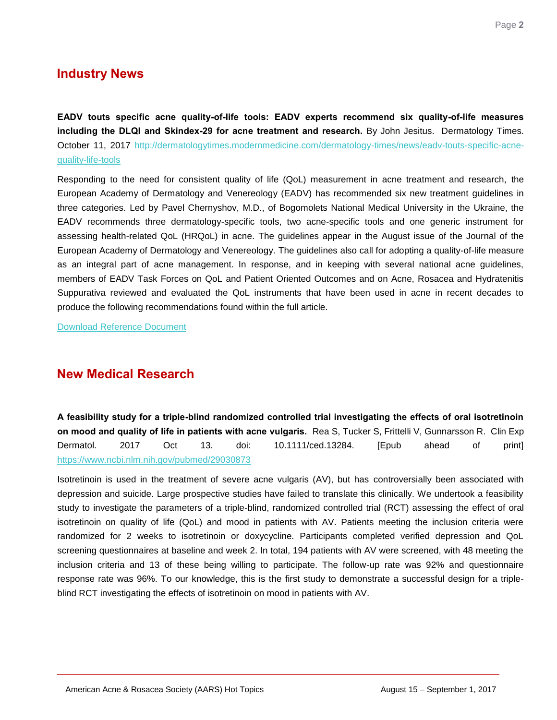## **Industry News**

<span id="page-2-0"></span>**EADV touts specific acne quality-of-life tools: EADV experts recommend six quality-of-life measures including the DLQI and Skindex-29 for acne treatment and research.** By John Jesitus. Dermatology Times. October 11, 2017 [http://dermatologytimes.modernmedicine.com/dermatology-times/news/eadv-touts-specific-acne](http://dermatologytimes.modernmedicine.com/dermatology-times/news/eadv-touts-specific-acne-quality-life-tools)[quality-life-tools](http://dermatologytimes.modernmedicine.com/dermatology-times/news/eadv-touts-specific-acne-quality-life-tools)

Responding to the need for consistent quality of life (QoL) measurement in acne treatment and research, the European Academy of Dermatology and Venereology (EADV) has recommended six new treatment guidelines in three categories. Led by Pavel Chernyshov, M.D., of Bogomolets National Medical University in the Ukraine, the EADV recommends three dermatology-specific tools, two acne-specific tools and one generic instrument for assessing health-related QoL (HRQoL) in acne. The guidelines appear in the August issue of the Journal of the European Academy of Dermatology and Venereology. The guidelines also call for adopting a quality-of-life measure as an integral part of acne management. In response, and in keeping with several national acne guidelines, members of EADV Task Forces on QoL and Patient Oriented Outcomes and on Acne, Rosacea and Hydratenitis Suppurativa reviewed and evaluated the QoL instruments that have been used in acne in recent decades to produce the following recommendations found within the full article.

[Download Reference Document](http://files.constantcontact.com/c2fa20d1101/ed25199d-51db-4c85-ad91-91c151884b26.pdf?ver=1509544880000)

## **New Medical Research**

<span id="page-2-1"></span>**A feasibility study for a triple-blind randomized controlled trial investigating the effects of oral isotretinoin on mood and quality of life in patients with acne vulgaris.** Rea S, Tucker S, Frittelli V, Gunnarsson R. Clin Exp Dermatol. 2017 Oct 13. doi: 10.1111/ced.13284. [Epub ahead of print] <https://www.ncbi.nlm.nih.gov/pubmed/29030873>

Isotretinoin is used in the treatment of severe acne vulgaris (AV), but has controversially been associated with depression and suicide. Large prospective studies have failed to translate this clinically. We undertook a feasibility study to investigate the parameters of a triple-blind, randomized controlled trial (RCT) assessing the effect of oral isotretinoin on quality of life (QoL) and mood in patients with AV. Patients meeting the inclusion criteria were randomized for 2 weeks to isotretinoin or doxycycline. Participants completed verified depression and QoL screening questionnaires at baseline and week 2. In total, 194 patients with AV were screened, with 48 meeting the inclusion criteria and 13 of these being willing to participate. The follow-up rate was 92% and questionnaire response rate was 96%. To our knowledge, this is the first study to demonstrate a successful design for a tripleblind RCT investigating the effects of isotretinoin on mood in patients with AV.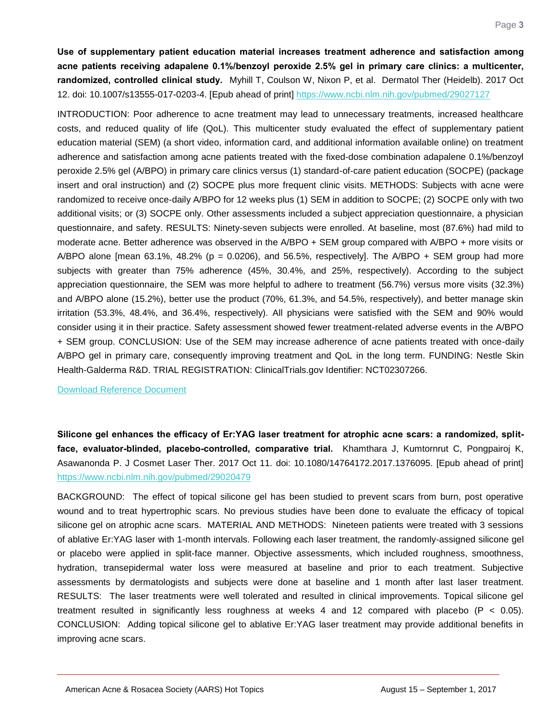<span id="page-3-0"></span>**Use of supplementary patient education material increases treatment adherence and satisfaction among acne patients receiving adapalene 0.1%/benzoyl peroxide 2.5% gel in primary care clinics: a multicenter, randomized, controlled clinical study.** Myhill T, Coulson W, Nixon P, et al. Dermatol Ther (Heidelb). 2017 Oct 12. doi: 10.1007/s13555-017-0203-4. [Epub ahead of print]<https://www.ncbi.nlm.nih.gov/pubmed/29027127>

INTRODUCTION: Poor adherence to acne treatment may lead to unnecessary treatments, increased healthcare costs, and reduced quality of life (QoL). This multicenter study evaluated the effect of supplementary patient education material (SEM) (a short video, information card, and additional information available online) on treatment adherence and satisfaction among acne patients treated with the fixed-dose combination adapalene 0.1%/benzoyl peroxide 2.5% gel (A/BPO) in primary care clinics versus (1) standard-of-care patient education (SOCPE) (package insert and oral instruction) and (2) SOCPE plus more frequent clinic visits. METHODS: Subjects with acne were randomized to receive once-daily A/BPO for 12 weeks plus (1) SEM in addition to SOCPE; (2) SOCPE only with two additional visits; or (3) SOCPE only. Other assessments included a subject appreciation questionnaire, a physician questionnaire, and safety. RESULTS: Ninety-seven subjects were enrolled. At baseline, most (87.6%) had mild to moderate acne. Better adherence was observed in the A/BPO + SEM group compared with A/BPO + more visits or A/BPO alone [mean 63.1%, 48.2% ( $p = 0.0206$ ), and 56.5%, respectively]. The A/BPO + SEM group had more subjects with greater than 75% adherence (45%, 30.4%, and 25%, respectively). According to the subject appreciation questionnaire, the SEM was more helpful to adhere to treatment (56.7%) versus more visits (32.3%) and A/BPO alone (15.2%), better use the product (70%, 61.3%, and 54.5%, respectively), and better manage skin irritation (53.3%, 48.4%, and 36.4%, respectively). All physicians were satisfied with the SEM and 90% would consider using it in their practice. Safety assessment showed fewer treatment-related adverse events in the A/BPO + SEM group. CONCLUSION: Use of the SEM may increase adherence of acne patients treated with once-daily A/BPO gel in primary care, consequently improving treatment and QoL in the long term. FUNDING: Nestle Skin Health-Galderma R&D. TRIAL REGISTRATION: ClinicalTrials.gov Identifier: NCT02307266.

[Download Reference Document](http://files.constantcontact.com/c2fa20d1101/9542948d-f3f0-46a6-a401-bf9c9f2ea069.pdf?ver=1509544880000)

<span id="page-3-1"></span>**Silicone gel enhances the efficacy of Er:YAG laser treatment for atrophic acne scars: a randomized, splitface, evaluator-blinded, placebo-controlled, comparative trial.** Khamthara J, Kumtornrut C, Pongpairoj K, Asawanonda P. J Cosmet Laser Ther. 2017 Oct 11. doi: 10.1080/14764172.2017.1376095. [Epub ahead of print] <https://www.ncbi.nlm.nih.gov/pubmed/29020479>

BACKGROUND: The effect of topical silicone gel has been studied to prevent scars from burn, post operative wound and to treat hypertrophic scars. No previous studies have been done to evaluate the efficacy of topical silicone gel on atrophic acne scars. MATERIAL AND METHODS: Nineteen patients were treated with 3 sessions of ablative Er:YAG laser with 1-month intervals. Following each laser treatment, the randomly-assigned silicone gel or placebo were applied in split-face manner. Objective assessments, which included roughness, smoothness, hydration, transepidermal water loss were measured at baseline and prior to each treatment. Subjective assessments by dermatologists and subjects were done at baseline and 1 month after last laser treatment. RESULTS: The laser treatments were well tolerated and resulted in clinical improvements. Topical silicone gel treatment resulted in significantly less roughness at weeks 4 and 12 compared with placebo (P < 0.05). CONCLUSION: Adding topical silicone gel to ablative Er:YAG laser treatment may provide additional benefits in improving acne scars.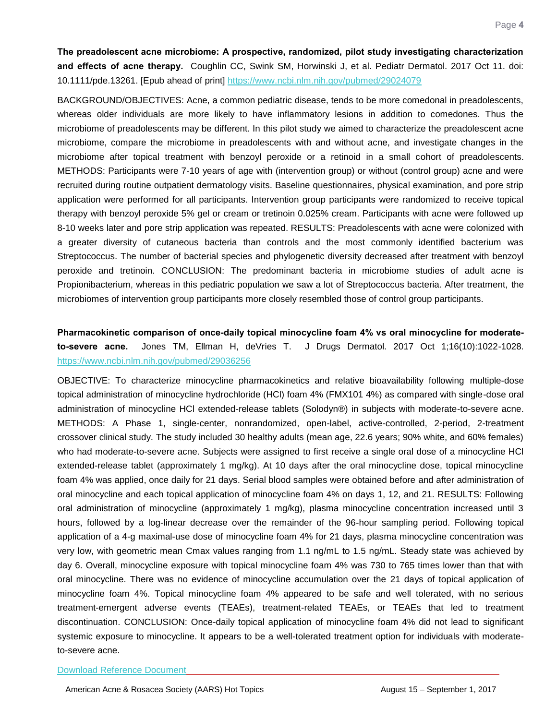<span id="page-4-0"></span>**The preadolescent acne microbiome: A prospective, randomized, pilot study investigating characterization and effects of acne therapy.** Coughlin CC, Swink SM, Horwinski J, et al. Pediatr Dermatol. 2017 Oct 11. doi: 10.1111/pde.13261. [Epub ahead of print]<https://www.ncbi.nlm.nih.gov/pubmed/29024079>

BACKGROUND/OBJECTIVES: Acne, a common pediatric disease, tends to be more comedonal in preadolescents, whereas older individuals are more likely to have inflammatory lesions in addition to comedones. Thus the microbiome of preadolescents may be different. In this pilot study we aimed to characterize the preadolescent acne microbiome, compare the microbiome in preadolescents with and without acne, and investigate changes in the microbiome after topical treatment with benzoyl peroxide or a retinoid in a small cohort of preadolescents. METHODS: Participants were 7-10 years of age with (intervention group) or without (control group) acne and were recruited during routine outpatient dermatology visits. Baseline questionnaires, physical examination, and pore strip application were performed for all participants. Intervention group participants were randomized to receive topical therapy with benzoyl peroxide 5% gel or cream or tretinoin 0.025% cream. Participants with acne were followed up 8-10 weeks later and pore strip application was repeated. RESULTS: Preadolescents with acne were colonized with a greater diversity of cutaneous bacteria than controls and the most commonly identified bacterium was Streptococcus. The number of bacterial species and phylogenetic diversity decreased after treatment with benzoyl peroxide and tretinoin. CONCLUSION: The predominant bacteria in microbiome studies of adult acne is Propionibacterium, whereas in this pediatric population we saw a lot of Streptococcus bacteria. After treatment, the microbiomes of intervention group participants more closely resembled those of control group participants.

#### <span id="page-4-1"></span>**Pharmacokinetic comparison of once-daily topical minocycline foam 4% vs oral minocycline for moderateto-severe acne.** Jones TM, Ellman H, deVries T. J Drugs Dermatol. 2017 Oct 1;16(10):1022-1028. <https://www.ncbi.nlm.nih.gov/pubmed/29036256>

OBJECTIVE: To characterize minocycline pharmacokinetics and relative bioavailability following multiple-dose topical administration of minocycline hydrochloride (HCl) foam 4% (FMX101 4%) as compared with single-dose oral administration of minocycline HCl extended-release tablets (Solodyn®) in subjects with moderate-to-severe acne. METHODS: A Phase 1, single-center, nonrandomized, open-label, active-controlled, 2-period, 2-treatment crossover clinical study. The study included 30 healthy adults (mean age, 22.6 years; 90% white, and 60% females) who had moderate-to-severe acne. Subjects were assigned to first receive a single oral dose of a minocycline HCl extended-release tablet (approximately 1 mg/kg). At 10 days after the oral minocycline dose, topical minocycline foam 4% was applied, once daily for 21 days. Serial blood samples were obtained before and after administration of oral minocycline and each topical application of minocycline foam 4% on days 1, 12, and 21. RESULTS: Following oral administration of minocycline (approximately 1 mg/kg), plasma minocycline concentration increased until 3 hours, followed by a log-linear decrease over the remainder of the 96-hour sampling period. Following topical application of a 4-g maximal-use dose of minocycline foam 4% for 21 days, plasma minocycline concentration was very low, with geometric mean Cmax values ranging from 1.1 ng/mL to 1.5 ng/mL. Steady state was achieved by day 6. Overall, minocycline exposure with topical minocycline foam 4% was 730 to 765 times lower than that with oral minocycline. There was no evidence of minocycline accumulation over the 21 days of topical application of minocycline foam 4%. Topical minocycline foam 4% appeared to be safe and well tolerated, with no serious treatment-emergent adverse events (TEAEs), treatment-related TEAEs, or TEAEs that led to treatment discontinuation. CONCLUSION: Once-daily topical application of minocycline foam 4% did not lead to significant systemic exposure to minocycline. It appears to be a well-tolerated treatment option for individuals with moderateto-severe acne.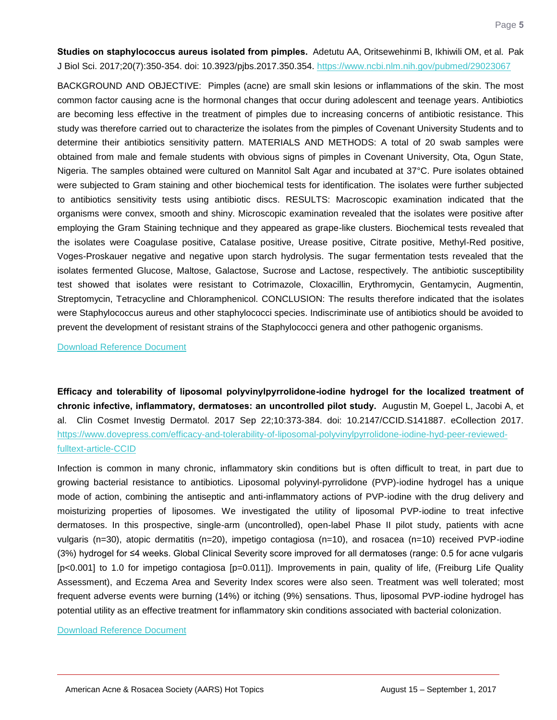<span id="page-5-0"></span>**Studies on staphylococcus aureus isolated from pimples.** Adetutu AA, Oritsewehinmi B, Ikhiwili OM, et al. Pak J Biol Sci. 2017;20(7):350-354. doi: 10.3923/pjbs.2017.350.354.<https://www.ncbi.nlm.nih.gov/pubmed/29023067>

BACKGROUND AND OBJECTIVE: Pimples (acne) are small skin lesions or inflammations of the skin. The most common factor causing acne is the hormonal changes that occur during adolescent and teenage years. Antibiotics are becoming less effective in the treatment of pimples due to increasing concerns of antibiotic resistance. This study was therefore carried out to characterize the isolates from the pimples of Covenant University Students and to determine their antibiotics sensitivity pattern. MATERIALS AND METHODS: A total of 20 swab samples were obtained from male and female students with obvious signs of pimples in Covenant University, Ota, Ogun State, Nigeria. The samples obtained were cultured on Mannitol Salt Agar and incubated at 37°C. Pure isolates obtained were subjected to Gram staining and other biochemical tests for identification. The isolates were further subjected to antibiotics sensitivity tests using antibiotic discs. RESULTS: Macroscopic examination indicated that the organisms were convex, smooth and shiny. Microscopic examination revealed that the isolates were positive after employing the Gram Staining technique and they appeared as grape-like clusters. Biochemical tests revealed that the isolates were Coagulase positive, Catalase positive, Urease positive, Citrate positive, Methyl-Red positive, Voges-Proskauer negative and negative upon starch hydrolysis. The sugar fermentation tests revealed that the isolates fermented Glucose, Maltose, Galactose, Sucrose and Lactose, respectively. The antibiotic susceptibility test showed that isolates were resistant to Cotrimazole, Cloxacillin, Erythromycin, Gentamycin, Augmentin, Streptomycin, Tetracycline and Chloramphenicol. CONCLUSION: The results therefore indicated that the isolates were Staphylococcus aureus and other staphylococci species. Indiscriminate use of antibiotics should be avoided to prevent the development of resistant strains of the Staphylococci genera and other pathogenic organisms.

[Download Reference Document](http://files.constantcontact.com/c2fa20d1101/feecf025-bc88-45ee-b83a-7185a0b9707b.pdf?ver=1509544880000)

<span id="page-5-1"></span>**Efficacy and tolerability of liposomal polyvinylpyrrolidone-iodine hydrogel for the localized treatment of chronic infective, inflammatory, dermatoses: an uncontrolled pilot study.** Augustin M, Goepel L, Jacobi A, et al. Clin Cosmet Investig Dermatol. 2017 Sep 22;10:373-384. doi: 10.2147/CCID.S141887. eCollection 2017. [https://www.dovepress.com/efficacy-and-tolerability-of-liposomal-polyvinylpyrrolidone-iodine-hyd-peer-reviewed](https://www.dovepress.com/efficacy-and-tolerability-of-liposomal-polyvinylpyrrolidone-iodine-hyd-peer-reviewed-fulltext-article-CCID)[fulltext-article-CCID](https://www.dovepress.com/efficacy-and-tolerability-of-liposomal-polyvinylpyrrolidone-iodine-hyd-peer-reviewed-fulltext-article-CCID)

Infection is common in many chronic, inflammatory skin conditions but is often difficult to treat, in part due to growing bacterial resistance to antibiotics. Liposomal polyvinyl-pyrrolidone (PVP)-iodine hydrogel has a unique mode of action, combining the antiseptic and anti-inflammatory actions of PVP-iodine with the drug delivery and moisturizing properties of liposomes. We investigated the utility of liposomal PVP-iodine to treat infective dermatoses. In this prospective, single-arm (uncontrolled), open-label Phase II pilot study, patients with acne vulgaris (n=30), atopic dermatitis (n=20), impetigo contagiosa (n=10), and rosacea (n=10) received PVP-iodine (3%) hydrogel for ≤4 weeks. Global Clinical Severity score improved for all dermatoses (range: 0.5 for acne vulgaris [p<0.001] to 1.0 for impetigo contagiosa [p=0.011]). Improvements in pain, quality of life, (Freiburg Life Quality Assessment), and Eczema Area and Severity Index scores were also seen. Treatment was well tolerated; most frequent adverse events were burning (14%) or itching (9%) sensations. Thus, liposomal PVP-iodine hydrogel has potential utility as an effective treatment for inflammatory skin conditions associated with bacterial colonization.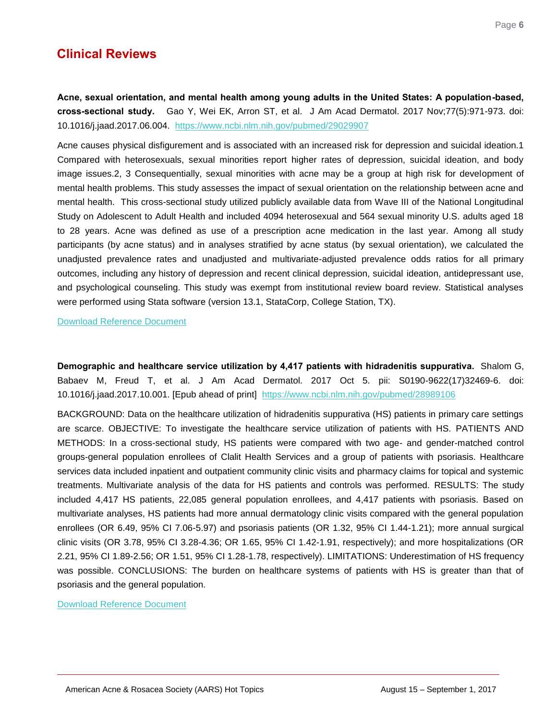## **Clinical Reviews**

<span id="page-6-0"></span>**Acne, sexual orientation, and mental health among young adults in the United States: A population-based, cross-sectional study.** Gao Y, Wei EK, Arron ST, et al. J Am Acad Dermatol. 2017 Nov;77(5):971-973. doi: 10.1016/j.jaad.2017.06.004. <https://www.ncbi.nlm.nih.gov/pubmed/29029907>

Acne causes physical disfigurement and is associated with an increased risk for depression and suicidal ideation.1 Compared with heterosexuals, sexual minorities report higher rates of depression, suicidal ideation, and body image issues.2, 3 Consequentially, sexual minorities with acne may be a group at high risk for development of mental health problems. This study assesses the impact of sexual orientation on the relationship between acne and mental health. This cross-sectional study utilized publicly available data from Wave III of the National Longitudinal Study on Adolescent to Adult Health and included 4094 heterosexual and 564 sexual minority U.S. adults aged 18 to 28 years. Acne was defined as use of a prescription acne medication in the last year. Among all study participants (by acne status) and in analyses stratified by acne status (by sexual orientation), we calculated the unadjusted prevalence rates and unadjusted and multivariate-adjusted prevalence odds ratios for all primary outcomes, including any history of depression and recent clinical depression, suicidal ideation, antidepressant use, and psychological counseling. This study was exempt from institutional review board review. Statistical analyses were performed using Stata software (version 13.1, StataCorp, College Station, TX).

[Download Reference Document](http://files.constantcontact.com/c2fa20d1101/c37d331c-e560-4d03-b2f4-3327fce2277f.pdf?ver=1509544880000)

<span id="page-6-1"></span>**Demographic and healthcare service utilization by 4,417 patients with hidradenitis suppurativa.** Shalom G, Babaev M, Freud T, et al. J Am Acad Dermatol. 2017 Oct 5. pii: S0190-9622(17)32469-6. doi: 10.1016/j.jaad.2017.10.001. [Epub ahead of print] <https://www.ncbi.nlm.nih.gov/pubmed/28989106>

BACKGROUND: Data on the healthcare utilization of hidradenitis suppurativa (HS) patients in primary care settings are scarce. OBJECTIVE: To investigate the healthcare service utilization of patients with HS. PATIENTS AND METHODS: In a cross-sectional study, HS patients were compared with two age- and gender-matched control groups-general population enrollees of Clalit Health Services and a group of patients with psoriasis. Healthcare services data included inpatient and outpatient community clinic visits and pharmacy claims for topical and systemic treatments. Multivariate analysis of the data for HS patients and controls was performed. RESULTS: The study included 4,417 HS patients, 22,085 general population enrollees, and 4,417 patients with psoriasis. Based on multivariate analyses, HS patients had more annual dermatology clinic visits compared with the general population enrollees (OR 6.49, 95% CI 7.06-5.97) and psoriasis patients (OR 1.32, 95% CI 1.44-1.21); more annual surgical clinic visits (OR 3.78, 95% CI 3.28-4.36; OR 1.65, 95% CI 1.42-1.91, respectively); and more hospitalizations (OR 2.21, 95% CI 1.89-2.56; OR 1.51, 95% CI 1.28-1.78, respectively). LIMITATIONS: Underestimation of HS frequency was possible. CONCLUSIONS: The burden on healthcare systems of patients with HS is greater than that of psoriasis and the general population.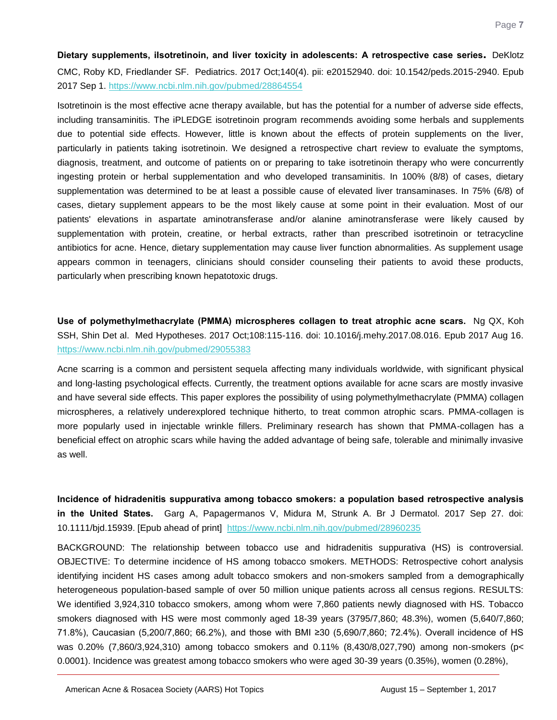<span id="page-7-0"></span>**Dietary supplements, iIsotretinoin, and liver toxicity in adolescents: A retrospective case series.** DeKlotz CMC, Roby KD, Friedlander SF. Pediatrics. 2017 Oct;140(4). pii: e20152940. doi: 10.1542/peds.2015-2940. Epub 2017 Sep 1.<https://www.ncbi.nlm.nih.gov/pubmed/28864554>

Isotretinoin is the most effective acne therapy available, but has the potential for a number of adverse side effects, including transaminitis. The iPLEDGE isotretinoin program recommends avoiding some herbals and supplements due to potential side effects. However, little is known about the effects of protein supplements on the liver, particularly in patients taking isotretinoin. We designed a retrospective chart review to evaluate the symptoms, diagnosis, treatment, and outcome of patients on or preparing to take isotretinoin therapy who were concurrently ingesting protein or herbal supplementation and who developed transaminitis. In 100% (8/8) of cases, dietary supplementation was determined to be at least a possible cause of elevated liver transaminases. In 75% (6/8) of cases, dietary supplement appears to be the most likely cause at some point in their evaluation. Most of our patients' elevations in aspartate aminotransferase and/or alanine aminotransferase were likely caused by supplementation with protein, creatine, or herbal extracts, rather than prescribed isotretinoin or tetracycline antibiotics for acne. Hence, dietary supplementation may cause liver function abnormalities. As supplement usage appears common in teenagers, clinicians should consider counseling their patients to avoid these products, particularly when prescribing known hepatotoxic drugs.

<span id="page-7-1"></span>**Use of polymethylmethacrylate (PMMA) microspheres collagen to treat atrophic acne scars.** Ng QX, Koh SSH, Shin Det al. Med Hypotheses. 2017 Oct;108:115-116. doi: 10.1016/j.mehy.2017.08.016. Epub 2017 Aug 16. <https://www.ncbi.nlm.nih.gov/pubmed/29055383>

Acne scarring is a common and persistent sequela affecting many individuals worldwide, with significant physical and long-lasting psychological effects. Currently, the treatment options available for acne scars are mostly invasive and have several side effects. This paper explores the possibility of using polymethylmethacrylate (PMMA) collagen microspheres, a relatively underexplored technique hitherto, to treat common atrophic scars. PMMA-collagen is more popularly used in injectable wrinkle fillers. Preliminary research has shown that PMMA-collagen has a beneficial effect on atrophic scars while having the added advantage of being safe, tolerable and minimally invasive as well.

<span id="page-7-2"></span>**Incidence of hidradenitis suppurativa among tobacco smokers: a population based retrospective analysis in the United States.** Garg A, Papagermanos V, Midura M, Strunk A. Br J Dermatol. 2017 Sep 27. doi: 10.1111/bjd.15939. [Epub ahead of print] <https://www.ncbi.nlm.nih.gov/pubmed/28960235>

BACKGROUND: The relationship between tobacco use and hidradenitis suppurativa (HS) is controversial. OBJECTIVE: To determine incidence of HS among tobacco smokers. METHODS: Retrospective cohort analysis identifying incident HS cases among adult tobacco smokers and non-smokers sampled from a demographically heterogeneous population-based sample of over 50 million unique patients across all census regions. RESULTS: We identified 3,924,310 tobacco smokers, among whom were 7,860 patients newly diagnosed with HS. Tobacco smokers diagnosed with HS were most commonly aged 18-39 years (3795/7,860; 48.3%), women (5,640/7,860; 71.8%), Caucasian (5,200/7,860; 66.2%), and those with BMI ≥30 (5,690/7,860; 72.4%). Overall incidence of HS was 0.20% (7,860/3,924,310) among tobacco smokers and 0.11% (8,430/8,027,790) among non-smokers (p< 0.0001). Incidence was greatest among tobacco smokers who were aged 30-39 years (0.35%), women (0.28%),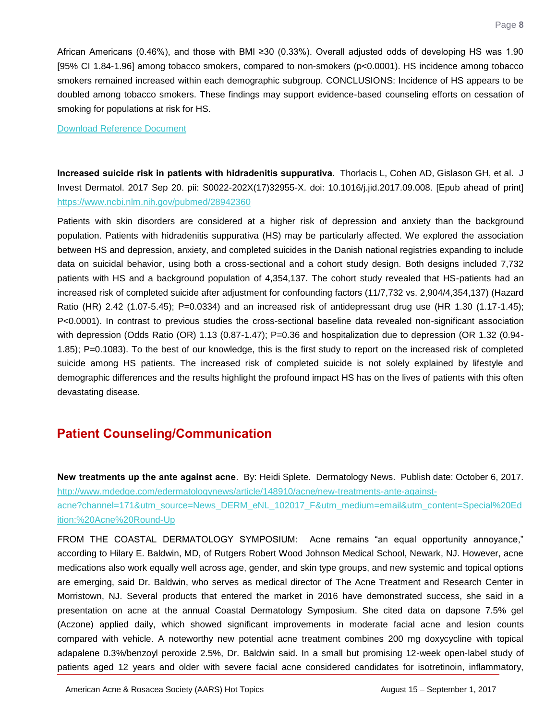African Americans (0.46%), and those with BMI ≥30 (0.33%). Overall adjusted odds of developing HS was 1.90 [95% CI 1.84-1.96] among tobacco smokers, compared to non-smokers (p<0.0001). HS incidence among tobacco smokers remained increased within each demographic subgroup. CONCLUSIONS: Incidence of HS appears to be doubled among tobacco smokers. These findings may support evidence-based counseling efforts on cessation of smoking for populations at risk for HS.

[Download Reference Document](http://files.constantcontact.com/c2fa20d1101/1b387382-d2c6-4356-9b89-30d258126d74.pdf?ver=1509544880000)

<span id="page-8-0"></span>**Increased suicide risk in patients with hidradenitis suppurativa.** Thorlacis L, Cohen AD, Gislason GH, et al. J Invest Dermatol. 2017 Sep 20. pii: S0022-202X(17)32955-X. doi: 10.1016/j.jid.2017.09.008. [Epub ahead of print] <https://www.ncbi.nlm.nih.gov/pubmed/28942360>

Patients with skin disorders are considered at a higher risk of depression and anxiety than the background population. Patients with hidradenitis suppurativa (HS) may be particularly affected. We explored the association between HS and depression, anxiety, and completed suicides in the Danish national registries expanding to include data on suicidal behavior, using both a cross-sectional and a cohort study design. Both designs included 7,732 patients with HS and a background population of 4,354,137. The cohort study revealed that HS-patients had an increased risk of completed suicide after adjustment for confounding factors (11/7,732 vs. 2,904/4,354,137) (Hazard Ratio (HR) 2.42 (1.07-5.45); P=0.0334) and an increased risk of antidepressant drug use (HR 1.30 (1.17-1.45); P<0.0001). In contrast to previous studies the cross-sectional baseline data revealed non-significant association with depression (Odds Ratio (OR) 1.13 (0.87-1.47); P=0.36 and hospitalization due to depression (OR 1.32 (0.94-1.85); P=0.1083). To the best of our knowledge, this is the first study to report on the increased risk of completed suicide among HS patients. The increased risk of completed suicide is not solely explained by lifestyle and demographic differences and the results highlight the profound impact HS has on the lives of patients with this often devastating disease.

## **Patient Counseling/Communication**

<span id="page-8-1"></span>**New treatments up the ante against acne**. By: Heidi Splete. Dermatology News. Publish date: October 6, 2017. [http://www.mdedge.com/edermatologynews/article/148910/acne/new-treatments-ante-against-](http://www.mdedge.com/edermatologynews/article/148910/acne/new-treatments-ante-against-acne?channel=171&utm_source=News_DERM_eNL_102017_F&utm_medium=email&utm_content=Special%20Edition:%20Acne%20Round-Up)

[acne?channel=171&utm\\_source=News\\_DERM\\_eNL\\_102017\\_F&utm\\_medium=email&utm\\_content=Special%20Ed](http://www.mdedge.com/edermatologynews/article/148910/acne/new-treatments-ante-against-acne?channel=171&utm_source=News_DERM_eNL_102017_F&utm_medium=email&utm_content=Special%20Edition:%20Acne%20Round-Up) [ition:%20Acne%20Round-Up](http://www.mdedge.com/edermatologynews/article/148910/acne/new-treatments-ante-against-acne?channel=171&utm_source=News_DERM_eNL_102017_F&utm_medium=email&utm_content=Special%20Edition:%20Acne%20Round-Up)

FROM THE COASTAL DERMATOLOGY SYMPOSIUM: Acne remains "an equal opportunity annoyance," according to Hilary E. Baldwin, MD, of Rutgers Robert Wood Johnson Medical School, Newark, NJ. However, acne medications also work equally well across age, gender, and skin type groups, and new systemic and topical options are emerging, said Dr. Baldwin, who serves as medical director of The Acne Treatment and Research Center in Morristown, NJ. Several products that entered the market in 2016 have demonstrated success, she said in a presentation on acne at the annual Coastal Dermatology Symposium. She cited data on dapsone 7.5% gel (Aczone) applied daily, which showed significant improvements in moderate facial acne and lesion counts compared with vehicle. A noteworthy new potential acne treatment combines 200 mg doxycycline with topical adapalene 0.3%/benzoyl peroxide 2.5%, Dr. Baldwin said. In a small but promising 12-week open-label study of patients aged 12 years and older with severe facial acne considered candidates for isotretinoin, inflammatory,